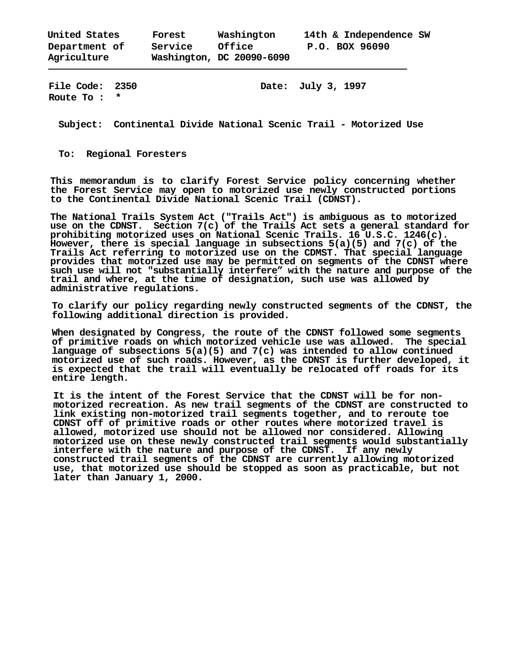| United States | Forest  | Washington                | 14th & Independence SW |
|---------------|---------|---------------------------|------------------------|
| Department of | Service | Office                    | P.O. BOX 96090         |
| Agriculture   |         | Washington, DC 20090-6090 |                        |

**Route To : \*** 

**File Code: 2350 Date: July 3, 1997**

**Subject: Continental Divide National Scenic Trail - Motorized Use** 

**To: Regional Foresters** 

**This memorandum is to clarify Forest Service policy concerning whether the Forest Service may open to motorized use newly constructed portions to the Continental Divide National Scenic Trail (CDNST).** 

**The National Trails System Act ("Trails Act") is ambiguous as to motorized use on the CDNST. Section 7(c) of the Trails Act sets a general standard for prohibiting motorized uses on National Scenic Trails. 16 U.S.C. 1246(c). However, there is special language in subsections 5(a)(5) and 7(c) of the Trails Act referring to motorized use on the CDMST. That special language provides that motorized use may be permitted on segments of the CDNST where such use will not "substantially interfere" with the nature and purpose of the trail and where, at the time of designation, such use was allowed by administrative regulations.** 

**To clarify our policy regarding newly constructed segments of the CDNST, the following additional direction is provided.** 

**When designated by Congress, the route of the CDNST followed some segments of primitive roads on which motorized vehicle use was allowed. The special language of subsections 5(a)(5) and 7(c) was intended to allow continued motorized use of such roads. However, as the CDNST is further developed, it is expected that the trail will eventually be relocated off roads for its entire length.** 

**It is the intent of the Forest Service that the CDNST will be for nonmotorized recreation. As new trail segments of the CDNST are constructed to link existing non-motorized trail segments together, and to reroute toe CDNST off of primitive roads or other routes where motorized travel is allowed, motorized use should not be allowed nor considered. Allowing motorized use on these newly constructed trail segments would substantially interfere with the nature and purpose of the CDNST. If any newly constructed trail segments of the CDNST are currently allowing motorized use, that motorized use should be stopped as soon as practicable, but not later than January 1, 2000.**